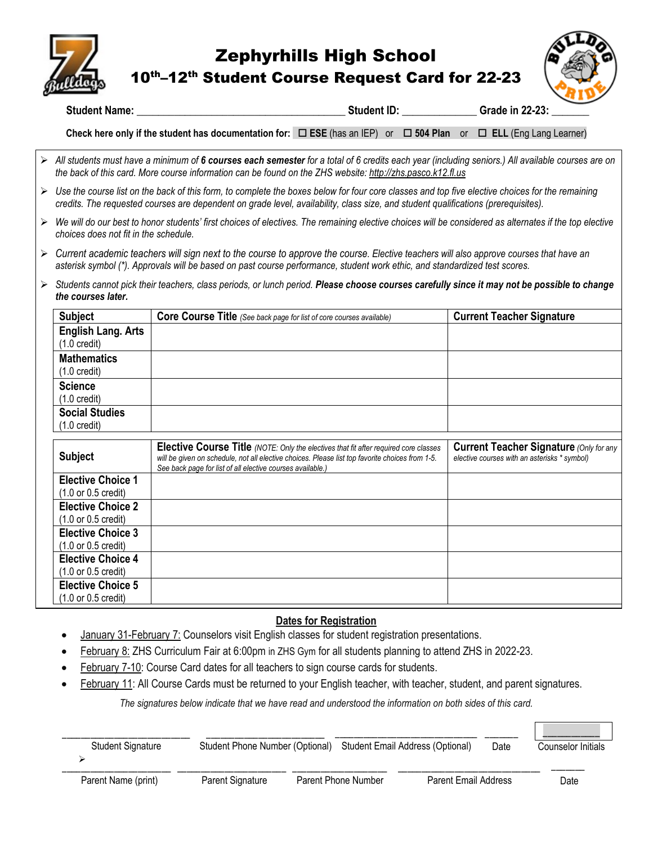

## Zephyrhills High School

10th–12th Student Course Request Card for 22-23



**Student Name: \_\_\_\_\_\_\_\_\_\_\_\_\_\_\_\_\_\_\_\_\_\_\_\_\_\_\_\_\_\_\_\_\_\_\_\_\_\_\_ Student ID:** \_\_\_\_\_\_\_\_\_\_\_\_\_\_ **Grade in 22-23: \_\_\_\_\_\_\_** 

**Check here only if the student has documentation for: ESE** (has an IEP) or **504 Plan** or  **ELL** (Eng Lang Learner)

- *All students must have a minimum of 6 courses each semester for a total of 6 credits each year (including seniors.) All available courses are on the back of this card. More course information can be found on the ZHS website[: http://zhs.pasco.k12.fl.us](http://zhs.pasco.k12.fl.us/)*
- *Use the course list on the back of this form, to complete the boxes below for four core classes and top five elective choices for the remaining credits. The requested courses are dependent on grade level, availability, class size, and student qualifications (prerequisites).*
- *We will do our best to honor students' first choices of electives. The remaining elective choices will be considered as alternates if the top elective choices does not fit in the schedule.*
- *Current academic teachers will sign next to the course to approve the course. Elective teachers will also approve courses that have an asterisk symbol (\*). Approvals will be based on past course performance, student work ethic, and standardized test scores.*
- *Students cannot pick their teachers, class periods, or lunch period. Please choose courses carefully since it may not be possible to change the courses later.*

| <b>Subject</b>                                      | Core Course Title (See back page for list of core courses available)                                                                                                                                                                                         | <b>Current Teacher Signature</b>                                                               |
|-----------------------------------------------------|--------------------------------------------------------------------------------------------------------------------------------------------------------------------------------------------------------------------------------------------------------------|------------------------------------------------------------------------------------------------|
| <b>English Lang. Arts</b><br>$(1.0 \text{ credit})$ |                                                                                                                                                                                                                                                              |                                                                                                |
| <b>Mathematics</b>                                  |                                                                                                                                                                                                                                                              |                                                                                                |
| $(1.0 \text{ credit})$                              |                                                                                                                                                                                                                                                              |                                                                                                |
| <b>Science</b>                                      |                                                                                                                                                                                                                                                              |                                                                                                |
| $(1.0 \text{ credit})$                              |                                                                                                                                                                                                                                                              |                                                                                                |
| <b>Social Studies</b>                               |                                                                                                                                                                                                                                                              |                                                                                                |
| $(1.0 \text{ credit})$                              |                                                                                                                                                                                                                                                              |                                                                                                |
|                                                     |                                                                                                                                                                                                                                                              |                                                                                                |
| <b>Subject</b>                                      | <b>Elective Course Title</b> (NOTE: Only the electives that fit after required core classes<br>will be given on schedule, not all elective choices. Please list top favorite choices from 1-5.<br>See back page for list of all elective courses available.) | <b>Current Teacher Signature (Only for any</b><br>elective courses with an asterisks * symbol) |
| <b>Elective Choice 1</b>                            |                                                                                                                                                                                                                                                              |                                                                                                |
| $(1.0 \text{ or } 0.5 \text{ credit})$              |                                                                                                                                                                                                                                                              |                                                                                                |
| <b>Elective Choice 2</b>                            |                                                                                                                                                                                                                                                              |                                                                                                |
| $(1.0 \text{ or } 0.5 \text{ credit})$              |                                                                                                                                                                                                                                                              |                                                                                                |
| <b>Elective Choice 3</b>                            |                                                                                                                                                                                                                                                              |                                                                                                |
| (1.0 or 0.5 credit)                                 |                                                                                                                                                                                                                                                              |                                                                                                |
| <b>Elective Choice 4</b>                            |                                                                                                                                                                                                                                                              |                                                                                                |
| $(1.0 \text{ or } 0.5 \text{ credit})$              |                                                                                                                                                                                                                                                              |                                                                                                |
| <b>Elective Choice 5</b>                            |                                                                                                                                                                                                                                                              |                                                                                                |
| (1.0 or 0.5 credit)                                 |                                                                                                                                                                                                                                                              |                                                                                                |

## **Dates for Registration**

- January 31-February 7: Counselors visit English classes for student registration presentations.
- February 8: ZHS Curriculum Fair at 6:00pm in ZHS Gym for all students planning to attend ZHS in 2022-23.
- February 7-10: Course Card dates for all teachers to sign course cards for students.
- February 11: All Course Cards must be returned to your English teacher, with teacher, student, and parent signatures.

*The signatures below indicate that we have read and understood the information on both sides of this card.*

| <b>Student Signature</b> | Student Phone Number (Optional) |                     | Student Email Address (Optional) | Date | Counselor Initials |
|--------------------------|---------------------------------|---------------------|----------------------------------|------|--------------------|
| Darant Nama (print)      | Darant Cianatura                | Darant Dhona Number | Darant Email Addrass             |      | הורח               |

Date